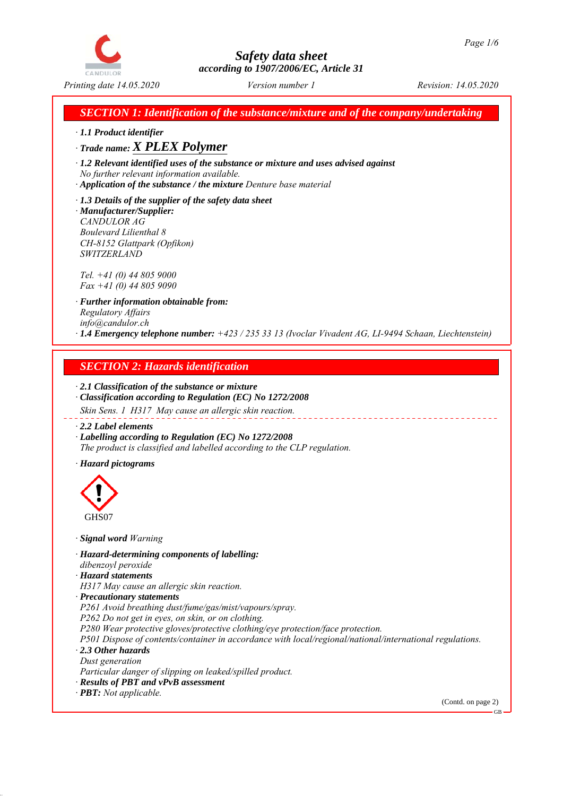

*SECTION 1: Identification of the substance/mixture and of the company/undertaking*

*ꞏ 1.1 Product identifier*

*ꞏ Trade name: X PLEX Polymer*

*ꞏ 1.2 Relevant identified uses of the substance or mixture and uses advised against No further relevant information available.*

*ꞏ Application of the substance / the mixture Denture base material*

*ꞏ 1.3 Details of the supplier of the safety data sheet ꞏ Manufacturer/Supplier: CANDULOR AG Boulevard Lilienthal 8 CH-8152 Glattpark (Opfikon) SWITZERLAND*

*Tel. +41 (0) 44 805 9000 Fax +41 (0) 44 805 9090*

*ꞏ Further information obtainable from: Regulatory Affairs info@candulor.ch ꞏ 1.4 Emergency telephone number: +423 / 235 33 13 (Ivoclar Vivadent AG, LI-9494 Schaan, Liechtenstein)*

## *SECTION 2: Hazards identification*

*ꞏ 2.1 Classification of the substance or mixture ꞏ Classification according to Regulation (EC) No 1272/2008*

*Skin Sens. 1 H317 May cause an allergic skin reaction.*

*ꞏ 2.2 Label elements*

*ꞏ Labelling according to Regulation (EC) No 1272/2008 The product is classified and labelled according to the CLP regulation.*

*ꞏ Hazard pictograms*



*ꞏ Signal word Warning*

*ꞏ Hazard-determining components of labelling: dibenzoyl peroxide*

*ꞏ Hazard statements*

*H317 May cause an allergic skin reaction.*

*ꞏ Precautionary statements*

*P261 Avoid breathing dust/fume/gas/mist/vapours/spray.*

*P262 Do not get in eyes, on skin, or on clothing.*

*P280 Wear protective gloves/protective clothing/eye protection/face protection.*

*P501 Dispose of contents/container in accordance with local/regional/national/international regulations. ꞏ 2.3 Other hazards*

*Dust generation*

*Particular danger of slipping on leaked/spilled product.*

*ꞏ Results of PBT and vPvB assessment*

*ꞏ PBT: Not applicable.*

(Contd. on page 2)

GB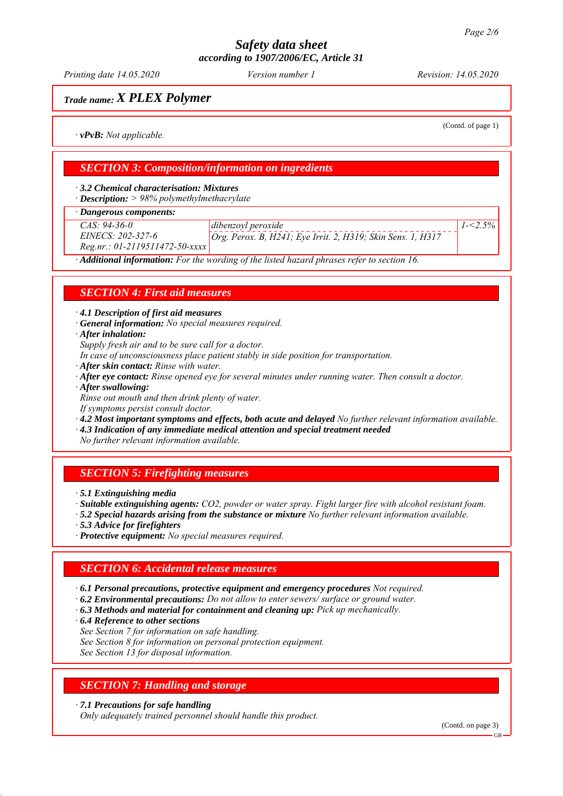*Printing date 14.05.2020 Revision: 14.05.2020 Version number 1*

# *Trade name: X PLEX Polymer*

(Contd. of page 1)

*1-<2.5%*

*ꞏ vPvB: Not applicable.*

## *SECTION 3: Composition/information on ingredients*

*ꞏ 3.2 Chemical characterisation: Mixtures*

*ꞏ Description: > 98% polymethylmethacrylate*

*ꞏ Dangerous components:*

*CAS: 94-36-0 EINECS: 202-327-6*

*Reg.nr.: 01-2119511472-50-xxxx*

*dibenzoyl peroxide Org. Perox. B, H241; Eye Irrit. 2, H319; Skin Sens. 1, H317*

*ꞏ Additional information: For the wording of the listed hazard phrases refer to section 16.*

## *SECTION 4: First aid measures*

*ꞏ 4.1 Description of first aid measures*

*ꞏ General information: No special measures required.*

*ꞏ After inhalation:*

*Supply fresh air and to be sure call for a doctor.*

*In case of unconsciousness place patient stably in side position for transportation.*

- *ꞏ After skin contact: Rinse with water.*
- *ꞏ After eye contact: Rinse opened eye for several minutes under running water. Then consult a doctor.*
- *ꞏ After swallowing:*

*Rinse out mouth and then drink plenty of water.*

*If symptoms persist consult doctor.*

*ꞏ 4.2 Most important symptoms and effects, both acute and delayed No further relevant information available.*

*ꞏ 4.3 Indication of any immediate medical attention and special treatment needed*

*No further relevant information available.*

## *SECTION 5: Firefighting measures*

*ꞏ 5.1 Extinguishing media*

*ꞏ Suitable extinguishing agents: CO2, powder or water spray. Fight larger fire with alcohol resistant foam.*

*ꞏ 5.2 Special hazards arising from the substance or mixture No further relevant information available.*

*ꞏ 5.3 Advice for firefighters*

*ꞏ Protective equipment: No special measures required.*

## *SECTION 6: Accidental release measures*

*ꞏ 6.1 Personal precautions, protective equipment and emergency procedures Not required.*

*ꞏ 6.2 Environmental precautions: Do not allow to enter sewers/ surface or ground water.*

*ꞏ 6.3 Methods and material for containment and cleaning up: Pick up mechanically.*

*ꞏ 6.4 Reference to other sections*

*See Section 7 for information on safe handling.*

*See Section 8 for information on personal protection equipment.*

*See Section 13 for disposal information.*

## *SECTION 7: Handling and storage*

*ꞏ 7.1 Precautions for safe handling*

*Only adequately trained personnel should handle this product.*

(Contd. on page 3)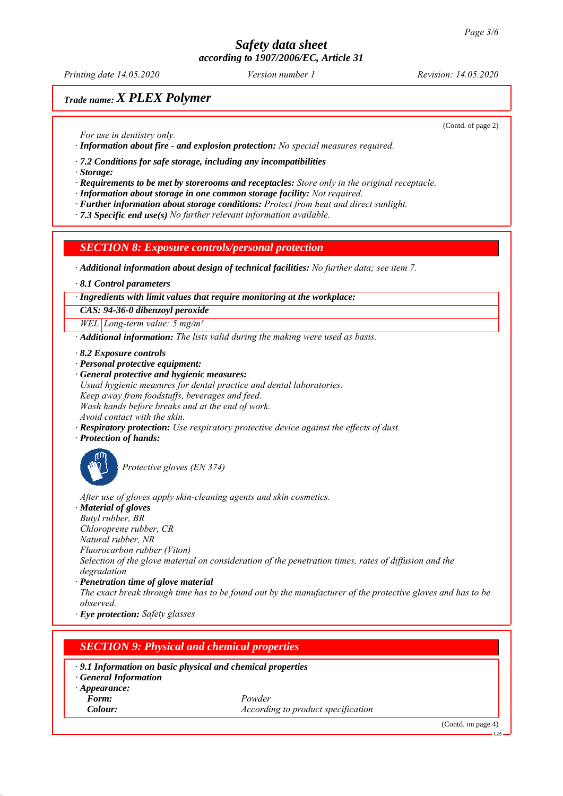*Printing date 14.05.2020 Revision: 14.05.2020 Version number 1*

# *Trade name: X PLEX Polymer*

(Contd. of page 2)

*For use in dentistry only.*

*ꞏ Information about fire - and explosion protection: No special measures required.*

*ꞏ 7.2 Conditions for safe storage, including any incompatibilities*

*ꞏ Storage:*

*ꞏ Requirements to be met by storerooms and receptacles: Store only in the original receptacle.*

*ꞏ Information about storage in one common storage facility: Not required.*

*ꞏ Further information about storage conditions: Protect from heat and direct sunlight.*

*ꞏ 7.3 Specific end use(s) No further relevant information available.*

*SECTION 8: Exposure controls/personal protection*

*ꞏ Additional information about design of technical facilities: No further data; see item 7.*

*ꞏ 8.1 Control parameters*

*ꞏ Ingredients with limit values that require monitoring at the workplace:*

*CAS: 94-36-0 dibenzoyl peroxide*

*WEL Long-term value: 5 mg/m³*

*ꞏ Additional information: The lists valid during the making were used as basis.*

*ꞏ 8.2 Exposure controls*

*ꞏ Personal protective equipment:*

*ꞏ General protective and hygienic measures: Usual hygienic measures for dental practice and dental laboratories. Keep away from foodstuffs, beverages and feed. Wash hands before breaks and at the end of work. Avoid contact with the skin.*

*ꞏ Respiratory protection: Use respiratory protective device against the effects of dust.*

*ꞏ Protection of hands:*



*Protective gloves (EN 374)*

*After use of gloves apply skin-cleaning agents and skin cosmetics.*

*ꞏ Material of gloves Butyl rubber, BR Chloroprene rubber, CR Natural rubber, NR Fluorocarbon rubber (Viton) Selection of the glove material on consideration of the penetration times, rates of diffusion and the degradation ꞏ Penetration time of glove material The exact break through time has to be found out by the manufacturer of the protective gloves and has to be observed.*

*ꞏ Eye protection: Safety glasses*

## *SECTION 9: Physical and chemical properties*

*ꞏ 9.1 Information on basic physical and chemical properties*

*ꞏ General Information*

*ꞏ Appearance:*

*Form: Powder Colour: According to product specification*

(Contd. on page 4)

 $CD$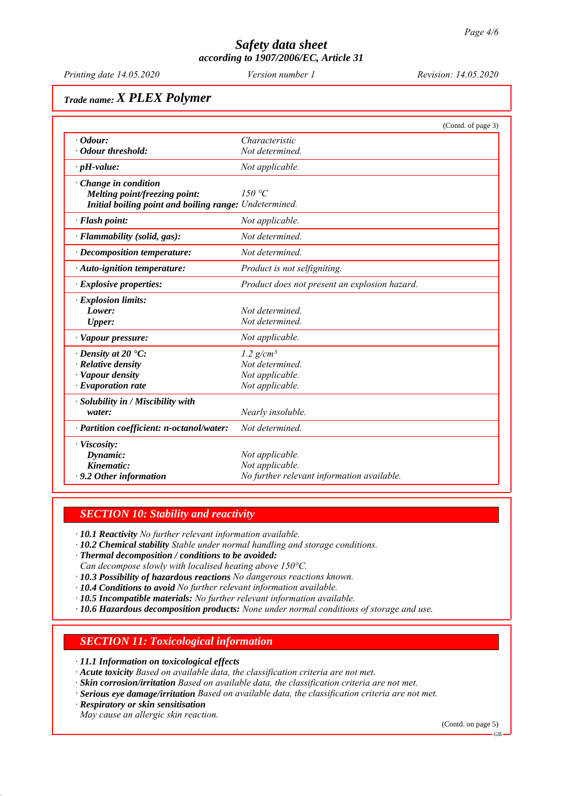*Printing date 14.05.2020 Revision: 14.05.2020 Version number 1*

# *Trade name: X PLEX Polymer*

|                                                        |                                               | (Contd. of page 3) |
|--------------------------------------------------------|-----------------------------------------------|--------------------|
| $\cdot$ Odour:                                         | Characteristic                                |                    |
| · Odour threshold:                                     | Not determined.                               |                    |
| $\cdot$ pH-value:                                      | Not applicable.                               |                    |
| $\cdot$ Change in condition                            |                                               |                    |
| Melting point/freezing point:                          | 150 °C                                        |                    |
| Initial boiling point and boiling range: Undetermined. |                                               |                    |
| · Flash point:                                         | Not applicable.                               |                    |
| $\cdot$ Flammability (solid, gas):                     | Not determined.                               |                    |
| $\cdot$ Decomposition temperature:                     | Not determined.                               |                    |
| · Auto-ignition temperature:                           | Product is not selfigniting.                  |                    |
| $\cdot$ Explosive properties:                          | Product does not present an explosion hazard. |                    |
| · Explosion limits:                                    |                                               |                    |
| Lower:                                                 | Not determined                                |                    |
| <b>Upper:</b>                                          | Not determined.                               |                    |
| · Vapour pressure:                                     | Not applicable.                               |                    |
| $\cdot$ Density at 20 $\cdot$ C:                       | $1.2$ g/cm <sup>3</sup>                       |                    |
| · Relative density                                     | Not determined.                               |                    |
| · Vapour density                                       | Not applicable.                               |                    |
| $\cdot$ Evaporation rate                               | Not applicable.                               |                    |
| · Solubility in / Miscibility with                     |                                               |                    |
| water:                                                 | Nearly insoluble.                             |                    |
| · Partition coefficient: n-octanol/water:              | Not determined.                               |                    |
| · Viscosity:                                           |                                               |                    |
| Dynamic:                                               | Not applicable.                               |                    |
| Kinematic:                                             | Not applicable.                               |                    |
| $\cdot$ 9.2 Other information                          | No further relevant information available.    |                    |

## *SECTION 10: Stability and reactivity*

*ꞏ 10.1 Reactivity No further relevant information available.*

*ꞏ 10.2 Chemical stability Stable under normal handling and storage conditions.*

*ꞏ Thermal decomposition / conditions to be avoided:*

*Can decompose slowly with localised heating above 150°C.*

- *ꞏ 10.3 Possibility of hazardous reactions No dangerous reactions known.*
- *ꞏ 10.4 Conditions to avoid No further relevant information available.*
- *ꞏ 10.5 Incompatible materials: No further relevant information available.*

*ꞏ 10.6 Hazardous decomposition products: None under normal conditions of storage and use.*

## *SECTION 11: Toxicological information*

*ꞏ 11.1 Information on toxicological effects*

- *ꞏ Acute toxicity Based on available data, the classification criteria are not met.*
- *ꞏ Skin corrosion/irritation Based on available data, the classification criteria are not met.*

*ꞏ Serious eye damage/irritation Based on available data, the classification criteria are not met.*

*ꞏ Respiratory or skin sensitisation*

*May cause an allergic skin reaction.*

(Contd. on page 5)

GB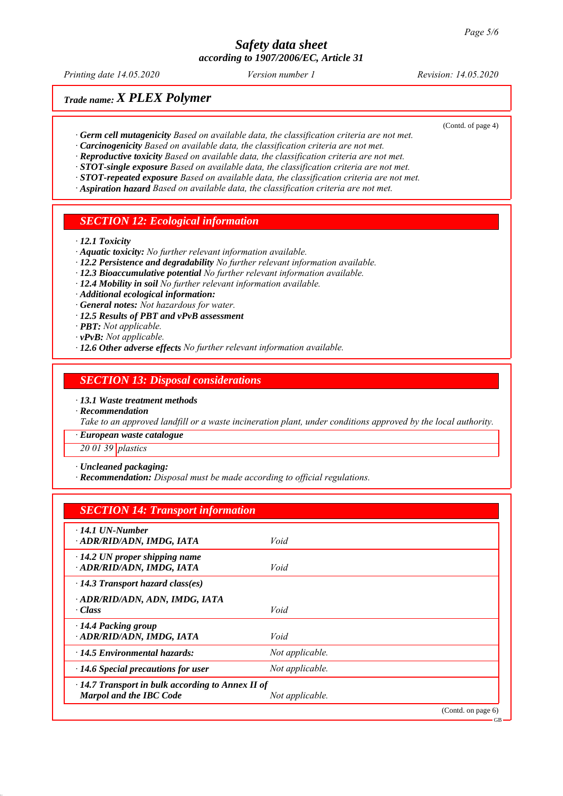*Printing date 14.05.2020 Revision: 14.05.2020 Version number 1*

(Contd. of page 4)

# *Trade name: X PLEX Polymer*

- *ꞏ Germ cell mutagenicity Based on available data, the classification criteria are not met.*
- *ꞏ Carcinogenicity Based on available data, the classification criteria are not met.*
- *ꞏ Reproductive toxicity Based on available data, the classification criteria are not met.*
- *ꞏ STOT-single exposure Based on available data, the classification criteria are not met.*
- *ꞏ STOT-repeated exposure Based on available data, the classification criteria are not met.*
- *ꞏ Aspiration hazard Based on available data, the classification criteria are not met.*

### *SECTION 12: Ecological information*

*ꞏ 12.1 Toxicity*

- *ꞏ Aquatic toxicity: No further relevant information available.*
- *ꞏ 12.2 Persistence and degradability No further relevant information available.*
- *ꞏ 12.3 Bioaccumulative potential No further relevant information available.*
- *ꞏ 12.4 Mobility in soil No further relevant information available.*
- *ꞏ Additional ecological information:*
- *ꞏ General notes: Not hazardous for water.*
- *ꞏ 12.5 Results of PBT and vPvB assessment*
- *ꞏ PBT: Not applicable.*
- *ꞏ vPvB: Not applicable.*
- *ꞏ 12.6 Other adverse effects No further relevant information available.*

### *SECTION 13: Disposal considerations*

*ꞏ 13.1 Waste treatment methods*

*ꞏ Recommendation*

*Take to an approved landfill or a waste incineration plant, under conditions approved by the local authority.*

*ꞏ European waste catalogue*

*20 01 39 plastics*

*ꞏ Uncleaned packaging:*

*ꞏ Recommendation: Disposal must be made according to official regulations.*

## *SECTION 14: Transport information*

| $\cdot$ 14.1 UN-Number<br>· ADR/RID/ADN, IMDG, IATA                                       | Void            |                    |
|-------------------------------------------------------------------------------------------|-----------------|--------------------|
| $\cdot$ 14.2 UN proper shipping name<br>· ADR/RID/ADN, IMDG, IATA                         | Void            |                    |
| $\cdot$ 14.3 Transport hazard class(es)                                                   |                 |                    |
| ADR/RID/ADN, ADN, IMDG, IATA<br>$\cdot$ Class                                             | Void            |                    |
| $\cdot$ 14.4 Packing group<br>· ADR/RID/ADN, IMDG, IATA                                   | Void            |                    |
| $\cdot$ 14.5 Environmental hazards:                                                       | Not applicable. |                    |
| $\cdot$ 14.6 Special precautions for user                                                 | Not applicable. |                    |
| $\cdot$ 14.7 Transport in bulk according to Annex II of<br><b>Marpol and the IBC Code</b> | Not applicable. |                    |
|                                                                                           |                 | (Contd. on page 6) |

GB